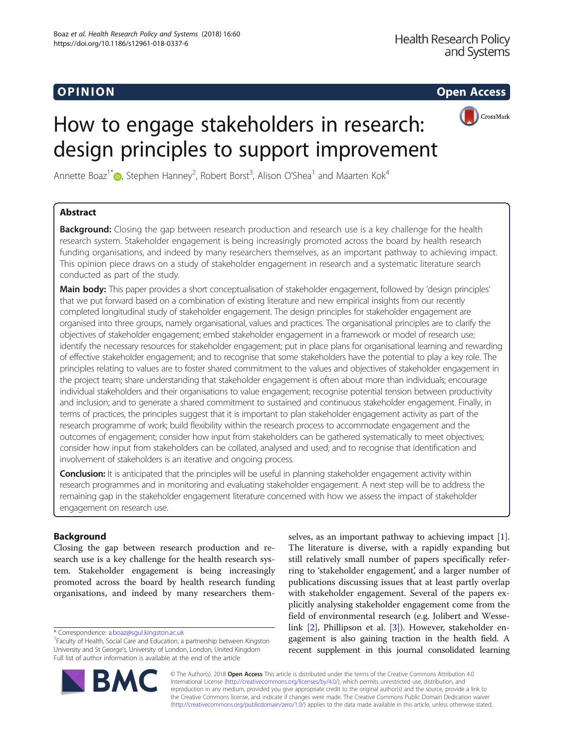O PINION Open Access

CrossMark

# How to engage stakeholders in research: design principles to support improvement

Annette Boaz<sup>1\*</sup> (**b**[,](http://orcid.org/0000-0003-0557-1294) Stephen Hanney<sup>2</sup>, Robert Borst<sup>3</sup>, Alison O'Shea<sup>1</sup> and Maarten Kok<sup>4</sup>

## Abstract

**Background:** Closing the gap between research production and research use is a key challenge for the health research system. Stakeholder engagement is being increasingly promoted across the board by health research funding organisations, and indeed by many researchers themselves, as an important pathway to achieving impact. This opinion piece draws on a study of stakeholder engagement in research and a systematic literature search conducted as part of the study.

Main body: This paper provides a short conceptualisation of stakeholder engagement, followed by 'design principles' that we put forward based on a combination of existing literature and new empirical insights from our recently completed longitudinal study of stakeholder engagement. The design principles for stakeholder engagement are organised into three groups, namely organisational, values and practices. The organisational principles are to clarify the objectives of stakeholder engagement; embed stakeholder engagement in a framework or model of research use; identify the necessary resources for stakeholder engagement; put in place plans for organisational learning and rewarding of effective stakeholder engagement; and to recognise that some stakeholders have the potential to play a key role. The principles relating to values are to foster shared commitment to the values and objectives of stakeholder engagement in the project team; share understanding that stakeholder engagement is often about more than individuals; encourage individual stakeholders and their organisations to value engagement; recognise potential tension between productivity and inclusion; and to generate a shared commitment to sustained and continuous stakeholder engagement. Finally, in terms of practices, the principles suggest that it is important to plan stakeholder engagement activity as part of the research programme of work; build flexibility within the research process to accommodate engagement and the outcomes of engagement; consider how input from stakeholders can be gathered systematically to meet objectives; consider how input from stakeholders can be collated, analysed and used; and to recognise that identification and involvement of stakeholders is an iterative and ongoing process.

**Conclusion:** It is anticipated that the principles will be useful in planning stakeholder engagement activity within research programmes and in monitoring and evaluating stakeholder engagement. A next step will be to address the remaining gap in the stakeholder engagement literature concerned with how we assess the impact of stakeholder engagement on research use.

## Background

Closing the gap between research production and research use is a key challenge for the health research system. Stakeholder engagement is being increasingly promoted across the board by health research funding organisations, and indeed by many researchers them-

\* Correspondence: [a.boaz@sgul.kingston.ac.uk](mailto:a.boaz@sgul.kingston.ac.uk) <sup>1</sup>

selves, as an important pathway to achieving impact [\[1](#page-7-0)]. The literature is diverse, with a rapidly expanding but still relatively small number of papers specifically referring to 'stakeholder engagement', and a larger number of publications discussing issues that at least partly overlap with stakeholder engagement. Several of the papers explicitly analysing stakeholder engagement come from the field of environmental research (e.g. Jolibert and Wesselink [\[2](#page-7-0)], Phillipson et al. [\[3](#page-7-0)]). However, stakeholder engagement is also gaining traction in the health field. A recent supplement in this journal consolidated learning



© The Author(s). 2018 Open Access This article is distributed under the terms of the Creative Commons Attribution 4.0 International License [\(http://creativecommons.org/licenses/by/4.0/](http://creativecommons.org/licenses/by/4.0/)), which permits unrestricted use, distribution, and reproduction in any medium, provided you give appropriate credit to the original author(s) and the source, provide a link to the Creative Commons license, and indicate if changes were made. The Creative Commons Public Domain Dedication waiver [\(http://creativecommons.org/publicdomain/zero/1.0/](http://creativecommons.org/publicdomain/zero/1.0/)) applies to the data made available in this article, unless otherwise stated.

<sup>&</sup>lt;sup>1</sup> Faculty of Health, Social Care and Education, a partnership between Kingston University and St George's, University of London, London, United Kingdom Full list of author information is available at the end of the article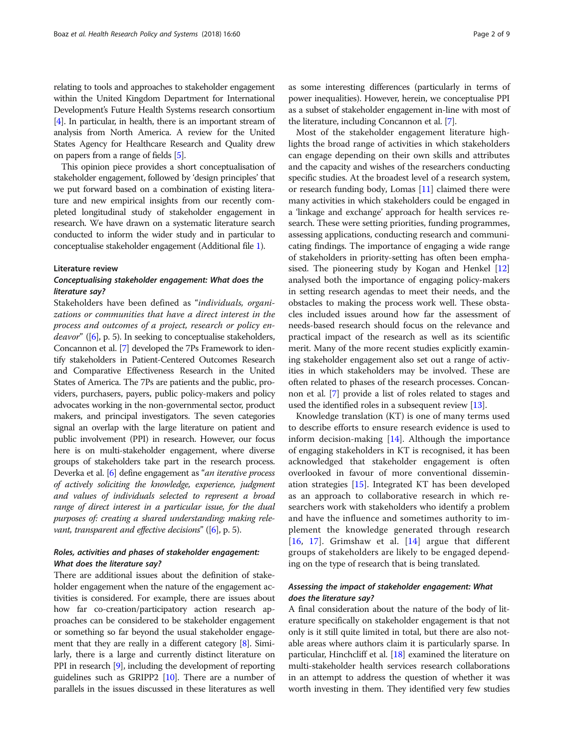relating to tools and approaches to stakeholder engagement within the United Kingdom Department for International Development's Future Health Systems research consortium [[4](#page-7-0)]. In particular, in health, there is an important stream of analysis from North America. A review for the United States Agency for Healthcare Research and Quality drew on papers from a range of fields [[5](#page-7-0)].

This opinion piece provides a short conceptualisation of stakeholder engagement, followed by 'design principles' that we put forward based on a combination of existing literature and new empirical insights from our recently completed longitudinal study of stakeholder engagement in research. We have drawn on a systematic literature search conducted to inform the wider study and in particular to conceptualise stakeholder engagement (Additional file [1](#page-7-0)).

#### Literature review

## Conceptualising stakeholder engagement: What does the literature say?

Stakeholders have been defined as "individuals, organizations or communities that have a direct interest in the process and outcomes of a project, research or policy en*deavor*" ( $[6]$  $[6]$  $[6]$ , p. 5). In seeking to conceptualise stakeholders, Concannon et al. [\[7\]](#page-7-0) developed the 7Ps Framework to identify stakeholders in Patient-Centered Outcomes Research and Comparative Effectiveness Research in the United States of America. The 7Ps are patients and the public, providers, purchasers, payers, public policy-makers and policy advocates working in the non-governmental sector, product makers, and principal investigators. The seven categories signal an overlap with the large literature on patient and public involvement (PPI) in research. However, our focus here is on multi-stakeholder engagement, where diverse groups of stakeholders take part in the research process. Deverka et al. [[6](#page-7-0)] define engagement as "an iterative process of actively soliciting the knowledge, experience, judgment and values of individuals selected to represent a broad range of direct interest in a particular issue, for the dual purposes of: creating a shared understanding; making relevant, transparent and effective decisions" ( $[6]$  $[6]$ , p. 5).

## Roles, activities and phases of stakeholder engagement: What does the literature say?

There are additional issues about the definition of stakeholder engagement when the nature of the engagement activities is considered. For example, there are issues about how far co-creation/participatory action research approaches can be considered to be stakeholder engagement or something so far beyond the usual stakeholder engagement that they are really in a different category [\[8\]](#page-7-0). Similarly, there is a large and currently distinct literature on PPI in research [\[9](#page-7-0)], including the development of reporting guidelines such as GRIPP2 [\[10](#page-7-0)]. There are a number of parallels in the issues discussed in these literatures as well as some interesting differences (particularly in terms of power inequalities). However, herein, we conceptualise PPI as a subset of stakeholder engagement in-line with most of the literature, including Concannon et al. [[7](#page-7-0)].

Most of the stakeholder engagement literature highlights the broad range of activities in which stakeholders can engage depending on their own skills and attributes and the capacity and wishes of the researchers conducting specific studies. At the broadest level of a research system, or research funding body, Lomas [\[11\]](#page-7-0) claimed there were many activities in which stakeholders could be engaged in a 'linkage and exchange' approach for health services research. These were setting priorities, funding programmes, assessing applications, conducting research and communicating findings. The importance of engaging a wide range of stakeholders in priority-setting has often been emphasised. The pioneering study by Kogan and Henkel [[12](#page-7-0)] analysed both the importance of engaging policy-makers in setting research agendas to meet their needs, and the obstacles to making the process work well. These obstacles included issues around how far the assessment of needs-based research should focus on the relevance and practical impact of the research as well as its scientific merit. Many of the more recent studies explicitly examining stakeholder engagement also set out a range of activities in which stakeholders may be involved. These are often related to phases of the research processes. Concannon et al. [[7\]](#page-7-0) provide a list of roles related to stages and used the identified roles in a subsequent review [[13](#page-7-0)].

Knowledge translation (KT) is one of many terms used to describe efforts to ensure research evidence is used to inform decision-making  $[14]$ . Although the importance of engaging stakeholders in KT is recognised, it has been acknowledged that stakeholder engagement is often overlooked in favour of more conventional dissemination strategies [[15](#page-7-0)]. Integrated KT has been developed as an approach to collaborative research in which researchers work with stakeholders who identify a problem and have the influence and sometimes authority to implement the knowledge generated through research [[16](#page-7-0), [17\]](#page-7-0). Grimshaw et al. [[14](#page-7-0)] argue that different groups of stakeholders are likely to be engaged depending on the type of research that is being translated.

## Assessing the impact of stakeholder engagement: What does the literature say?

A final consideration about the nature of the body of literature specifically on stakeholder engagement is that not only is it still quite limited in total, but there are also notable areas where authors claim it is particularly sparse. In particular, Hinchcliff et al. [[18](#page-8-0)] examined the literature on multi-stakeholder health services research collaborations in an attempt to address the question of whether it was worth investing in them. They identified very few studies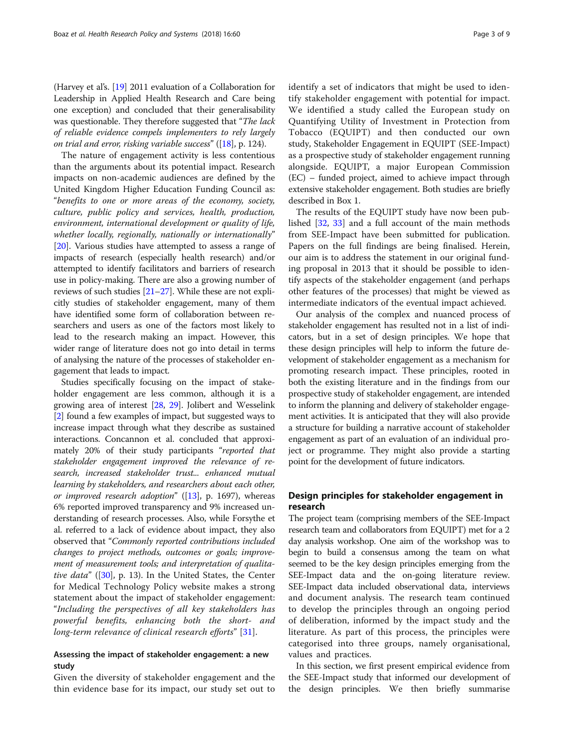(Harvey et al's. [[19](#page-8-0)] 2011 evaluation of a Collaboration for Leadership in Applied Health Research and Care being one exception) and concluded that their generalisability was questionable. They therefore suggested that "*The lack* of reliable evidence compels implementers to rely largely on trial and error, risking variable success"  $(18)$ , p. 124).

The nature of engagement activity is less contentious than the arguments about its potential impact. Research impacts on non-academic audiences are defined by the United Kingdom Higher Education Funding Council as: "benefits to one or more areas of the economy, society, culture, public policy and services, health, production, environment, international development or quality of life, whether locally, regionally, nationally or internationally" [[20\]](#page-8-0). Various studies have attempted to assess a range of impacts of research (especially health research) and/or attempted to identify facilitators and barriers of research use in policy-making. There are also a growing number of reviews of such studies [[21](#page-8-0)–[27\]](#page-8-0). While these are not explicitly studies of stakeholder engagement, many of them have identified some form of collaboration between researchers and users as one of the factors most likely to lead to the research making an impact. However, this wider range of literature does not go into detail in terms of analysing the nature of the processes of stakeholder engagement that leads to impact.

Studies specifically focusing on the impact of stakeholder engagement are less common, although it is a growing area of interest [[28,](#page-8-0) [29](#page-8-0)]. Jolibert and Wesselink [[2\]](#page-7-0) found a few examples of impact, but suggested ways to increase impact through what they describe as sustained interactions. Concannon et al. concluded that approximately 20% of their study participants "reported that stakeholder engagement improved the relevance of research, increased stakeholder trust... enhanced mutual learning by stakeholders, and researchers about each other, or improved research adoption" ( $[13]$ , p. 1697), whereas 6% reported improved transparency and 9% increased understanding of research processes. Also, while Forsythe et al. referred to a lack of evidence about impact, they also observed that "Commonly reported contributions included changes to project methods, outcomes or goals; improvement of measurement tools; and interpretation of qualita-tive data" ([[30](#page-8-0)], p. 13). In the United States, the Center for Medical Technology Policy website makes a strong statement about the impact of stakeholder engagement: "Including the perspectives of all key stakeholders has powerful benefits, enhancing both the short- and long-term relevance of clinical research efforts" [[31\]](#page-8-0).

## Assessing the impact of stakeholder engagement: a new study

Given the diversity of stakeholder engagement and the thin evidence base for its impact, our study set out to identify a set of indicators that might be used to identify stakeholder engagement with potential for impact. We identified a study called the European study on Quantifying Utility of Investment in Protection from Tobacco (EQUIPT) and then conducted our own study, Stakeholder Engagement in EQUIPT (SEE-Impact) as a prospective study of stakeholder engagement running alongside. EQUIPT, a major European Commission (EC) – funded project, aimed to achieve impact through extensive stakeholder engagement. Both studies are briefly described in Box 1.

The results of the EQUIPT study have now been published [[32,](#page-8-0) [33\]](#page-8-0) and a full account of the main methods from SEE-Impact have been submitted for publication. Papers on the full findings are being finalised. Herein, our aim is to address the statement in our original funding proposal in 2013 that it should be possible to identify aspects of the stakeholder engagement (and perhaps other features of the processes) that might be viewed as intermediate indicators of the eventual impact achieved.

Our analysis of the complex and nuanced process of stakeholder engagement has resulted not in a list of indicators, but in a set of design principles. We hope that these design principles will help to inform the future development of stakeholder engagement as a mechanism for promoting research impact. These principles, rooted in both the existing literature and in the findings from our prospective study of stakeholder engagement, are intended to inform the planning and delivery of stakeholder engagement activities. It is anticipated that they will also provide a structure for building a narrative account of stakeholder engagement as part of an evaluation of an individual project or programme. They might also provide a starting point for the development of future indicators.

## Design principles for stakeholder engagement in research

The project team (comprising members of the SEE-Impact research team and collaborators from EQUIPT) met for a 2 day analysis workshop. One aim of the workshop was to begin to build a consensus among the team on what seemed to be the key design principles emerging from the SEE-Impact data and the on-going literature review. SEE-Impact data included observational data, interviews and document analysis. The research team continued to develop the principles through an ongoing period of deliberation, informed by the impact study and the literature. As part of this process, the principles were categorised into three groups, namely organisational, values and practices.

In this section, we first present empirical evidence from the SEE-Impact study that informed our development of the design principles. We then briefly summarise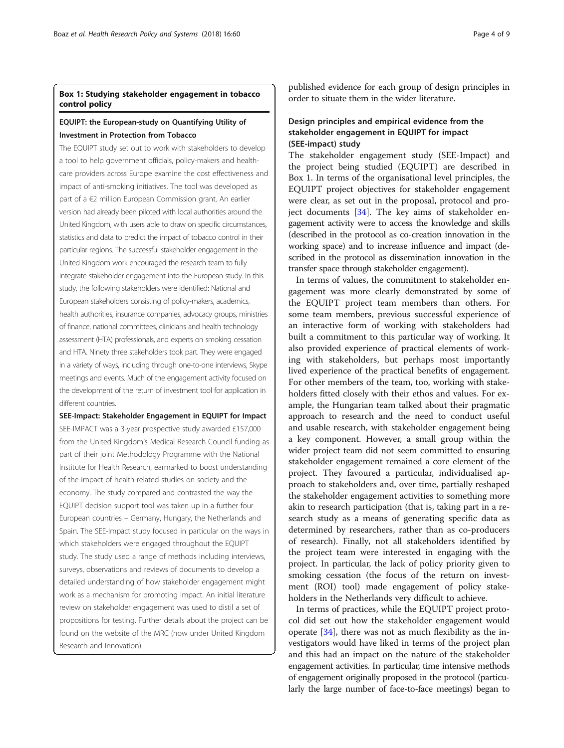## Box 1: Studying stakeholder engagement in tobacco control policy

## EQUIPT: the European-study on Quantifying Utility of Investment in Protection from Tobacco

The EQUIPT study set out to work with stakeholders to develop a tool to help government officials, policy-makers and healthcare providers across Europe examine the cost effectiveness and impact of anti-smoking initiatives. The tool was developed as part of a €2 million European Commission grant. An earlier version had already been piloted with local authorities around the United Kingdom, with users able to draw on specific circumstances, statistics and data to predict the impact of tobacco control in their particular regions. The successful stakeholder engagement in the United Kingdom work encouraged the research team to fully integrate stakeholder engagement into the European study. In this study, the following stakeholders were identified: National and European stakeholders consisting of policy-makers, academics, health authorities, insurance companies, advocacy groups, ministries of finance, national committees, clinicians and health technology assessment (HTA) professionals, and experts on smoking cessation and HTA. Ninety three stakeholders took part. They were engaged in a variety of ways, including through one-to-one interviews, Skype meetings and events. Much of the engagement activity focused on the development of the return of investment tool for application in different countries.

SEE-Impact: Stakeholder Engagement in EQUIPT for Impact SEE-IMPACT was a 3-year prospective study awarded £157,000 from the United Kingdom's Medical Research Council funding as part of their joint Methodology Programme with the National Institute for Health Research, earmarked to boost understanding of the impact of health-related studies on society and the economy. The study compared and contrasted the way the EQUIPT decision support tool was taken up in a further four European countries – Germany, Hungary, the Netherlands and Spain. The SEE-Impact study focused in particular on the ways in which stakeholders were engaged throughout the EQUIPT study. The study used a range of methods including interviews, surveys, observations and reviews of documents to develop a detailed understanding of how stakeholder engagement might work as a mechanism for promoting impact. An initial literature review on stakeholder engagement was used to distil a set of propositions for testing. Further details about the project can be found on the website of the MRC (now under United Kingdom Research and Innovation).

published evidence for each group of design principles in order to situate them in the wider literature.

## Design principles and empirical evidence from the stakeholder engagement in EQUIPT for impact (SEE-impact) study

The stakeholder engagement study (SEE-Impact) and the project being studied (EQUIPT) are described in Box 1. In terms of the organisational level principles, the EQUIPT project objectives for stakeholder engagement were clear, as set out in the proposal, protocol and project documents [\[34](#page-8-0)]. The key aims of stakeholder engagement activity were to access the knowledge and skills (described in the protocol as co-creation innovation in the working space) and to increase influence and impact (described in the protocol as dissemination innovation in the transfer space through stakeholder engagement).

In terms of values, the commitment to stakeholder engagement was more clearly demonstrated by some of the EQUIPT project team members than others. For some team members, previous successful experience of an interactive form of working with stakeholders had built a commitment to this particular way of working. It also provided experience of practical elements of working with stakeholders, but perhaps most importantly lived experience of the practical benefits of engagement. For other members of the team, too, working with stakeholders fitted closely with their ethos and values. For example, the Hungarian team talked about their pragmatic approach to research and the need to conduct useful and usable research, with stakeholder engagement being a key component. However, a small group within the wider project team did not seem committed to ensuring stakeholder engagement remained a core element of the project. They favoured a particular, individualised approach to stakeholders and, over time, partially reshaped the stakeholder engagement activities to something more akin to research participation (that is, taking part in a research study as a means of generating specific data as determined by researchers, rather than as co-producers of research). Finally, not all stakeholders identified by the project team were interested in engaging with the project. In particular, the lack of policy priority given to smoking cessation (the focus of the return on investment (ROI) tool) made engagement of policy stakeholders in the Netherlands very difficult to achieve.

In terms of practices, while the EQUIPT project protocol did set out how the stakeholder engagement would operate [[34](#page-8-0)], there was not as much flexibility as the investigators would have liked in terms of the project plan and this had an impact on the nature of the stakeholder engagement activities. In particular, time intensive methods of engagement originally proposed in the protocol (particularly the large number of face-to-face meetings) began to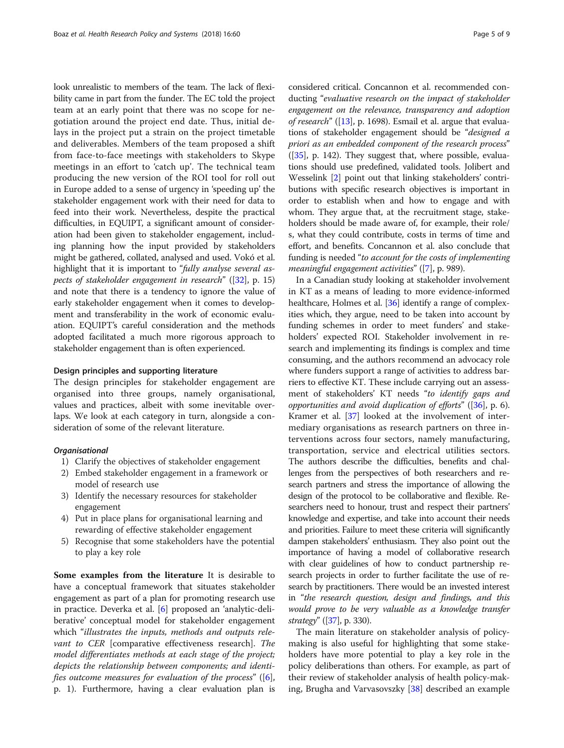look unrealistic to members of the team. The lack of flexibility came in part from the funder. The EC told the project team at an early point that there was no scope for negotiation around the project end date. Thus, initial delays in the project put a strain on the project timetable and deliverables. Members of the team proposed a shift from face-to-face meetings with stakeholders to Skype meetings in an effort to 'catch up'. The technical team producing the new version of the ROI tool for roll out in Europe added to a sense of urgency in 'speeding up' the stakeholder engagement work with their need for data to feed into their work. Nevertheless, despite the practical difficulties, in EQUIPT, a significant amount of consideration had been given to stakeholder engagement, including planning how the input provided by stakeholders might be gathered, collated, analysed and used. Vokó et al. highlight that it is important to "fully analyse several aspects of stakeholder engagement in research" ([\[32\]](#page-8-0), p. 15) and note that there is a tendency to ignore the value of early stakeholder engagement when it comes to development and transferability in the work of economic evaluation. EQUIPT's careful consideration and the methods adopted facilitated a much more rigorous approach to stakeholder engagement than is often experienced.

#### Design principles and supporting literature

The design principles for stakeholder engagement are organised into three groups, namely organisational, values and practices, albeit with some inevitable overlaps. We look at each category in turn, alongside a consideration of some of the relevant literature.

#### **Organisational**

- 1) Clarify the objectives of stakeholder engagement
- 2) Embed stakeholder engagement in a framework or model of research use
- 3) Identify the necessary resources for stakeholder engagement
- 4) Put in place plans for organisational learning and rewarding of effective stakeholder engagement
- 5) Recognise that some stakeholders have the potential to play a key role

Some examples from the literature It is desirable to have a conceptual framework that situates stakeholder engagement as part of a plan for promoting research use in practice. Deverka et al. [[6\]](#page-7-0) proposed an 'analytic-deliberative' conceptual model for stakeholder engagement which "illustrates the inputs, methods and outputs relevant to CER [comparative effectiveness research]. The model differentiates methods at each stage of the project; depicts the relationship between components; and identifies outcome measures for evaluation of the process" ( $[6]$  $[6]$ , p. 1). Furthermore, having a clear evaluation plan is considered critical. Concannon et al. recommended conducting "evaluative research on the impact of stakeholder engagement on the relevance, transparency and adoption *of research*" ([\[13\]](#page-7-0), p. 1698). Esmail et al. argue that evaluations of stakeholder engagement should be "designed a priori as an embedded component of the research process"  $([35], p. 142)$  $([35], p. 142)$  $([35], p. 142)$ . They suggest that, where possible, evaluations should use predefined, validated tools. Jolibert and Wesselink [\[2](#page-7-0)] point out that linking stakeholders' contributions with specific research objectives is important in order to establish when and how to engage and with whom. They argue that, at the recruitment stage, stakeholders should be made aware of, for example, their role/ s, what they could contribute, costs in terms of time and effort, and benefits. Concannon et al. also conclude that funding is needed "to account for the costs of implementing meaningful engagement activities" ([\[7\]](#page-7-0), p. 989).

In a Canadian study looking at stakeholder involvement in KT as a means of leading to more evidence-informed healthcare, Holmes et al. [[36](#page-8-0)] identify a range of complexities which, they argue, need to be taken into account by funding schemes in order to meet funders' and stakeholders' expected ROI. Stakeholder involvement in research and implementing its findings is complex and time consuming, and the authors recommend an advocacy role where funders support a range of activities to address barriers to effective KT. These include carrying out an assessment of stakeholders' KT needs "to identify gaps and opportunities and avoid duplication of efforts"  $(36)$ , p. 6). Kramer et al. [\[37\]](#page-8-0) looked at the involvement of intermediary organisations as research partners on three interventions across four sectors, namely manufacturing, transportation, service and electrical utilities sectors. The authors describe the difficulties, benefits and challenges from the perspectives of both researchers and research partners and stress the importance of allowing the design of the protocol to be collaborative and flexible. Researchers need to honour, trust and respect their partners' knowledge and expertise, and take into account their needs and priorities. Failure to meet these criteria will significantly dampen stakeholders' enthusiasm. They also point out the importance of having a model of collaborative research with clear guidelines of how to conduct partnership research projects in order to further facilitate the use of research by practitioners. There would be an invested interest in "the research question, design and findings, and this would prove to be very valuable as a knowledge transfer strategy" ([[37\]](#page-8-0), p. 330).

The main literature on stakeholder analysis of policymaking is also useful for highlighting that some stakeholders have more potential to play a key role in the policy deliberations than others. For example, as part of their review of stakeholder analysis of health policy-making, Brugha and Varvasovszky [[38\]](#page-8-0) described an example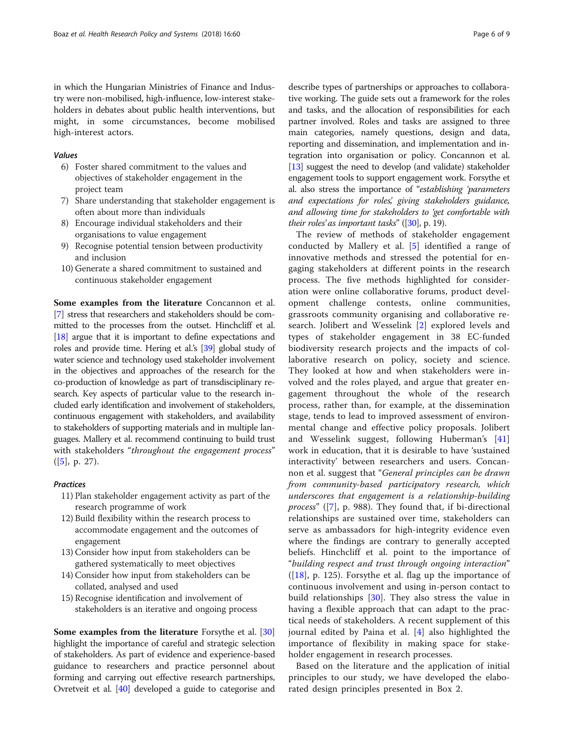in which the Hungarian Ministries of Finance and Industry were non-mobilised, high-influence, low-interest stakeholders in debates about public health interventions, but might, in some circumstances, become mobilised high-interest actors.

## Values

- 6) Foster shared commitment to the values and objectives of stakeholder engagement in the project team
- 7) Share understanding that stakeholder engagement is often about more than individuals
- 8) Encourage individual stakeholders and their organisations to value engagement
- 9) Recognise potential tension between productivity and inclusion
- 10) Generate a shared commitment to sustained and continuous stakeholder engagement

Some examples from the literature Concannon et al. [[7\]](#page-7-0) stress that researchers and stakeholders should be committed to the processes from the outset. Hinchcliff et al. [[18](#page-8-0)] argue that it is important to define expectations and roles and provide time. Hering et al.'s [\[39](#page-8-0)] global study of water science and technology used stakeholder involvement in the objectives and approaches of the research for the co-production of knowledge as part of transdisciplinary research. Key aspects of particular value to the research included early identification and involvement of stakeholders, continuous engagement with stakeholders, and availability to stakeholders of supporting materials and in multiple languages. Mallery et al. recommend continuing to build trust with stakeholders "throughout the engagement process"  $([5], p. 27)$  $([5], p. 27)$  $([5], p. 27)$ .

## Practices

- 11) Plan stakeholder engagement activity as part of the research programme of work
- 12) Build flexibility within the research process to accommodate engagement and the outcomes of engagement
- 13) Consider how input from stakeholders can be gathered systematically to meet objectives
- 14) Consider how input from stakeholders can be collated, analysed and used
- 15) Recognise identification and involvement of stakeholders is an iterative and ongoing process

Some examples from the literature Forsythe et al. [[30](#page-8-0)] highlight the importance of careful and strategic selection of stakeholders. As part of evidence and experience-based guidance to researchers and practice personnel about forming and carrying out effective research partnerships, Ovretveit et al. [\[40\]](#page-8-0) developed a guide to categorise and

describe types of partnerships or approaches to collaborative working. The guide sets out a framework for the roles and tasks, and the allocation of responsibilities for each partner involved. Roles and tasks are assigned to three main categories, namely questions, design and data, reporting and dissemination, and implementation and integration into organisation or policy. Concannon et al. [[13](#page-7-0)] suggest the need to develop (and validate) stakeholder engagement tools to support engagement work. Forsythe et al. also stress the importance of "establishing 'parameters and expectations for roles', giving stakeholders guidance, and allowing time for stakeholders to 'get comfortable with their roles' as important tasks" ( $[30]$ , p. 19).

The review of methods of stakeholder engagement conducted by Mallery et al. [\[5](#page-7-0)] identified a range of innovative methods and stressed the potential for engaging stakeholders at different points in the research process. The five methods highlighted for consideration were online collaborative forums, product development challenge contests, online communities, grassroots community organising and collaborative research. Jolibert and Wesselink [[2\]](#page-7-0) explored levels and types of stakeholder engagement in 38 EC-funded biodiversity research projects and the impacts of collaborative research on policy, society and science. They looked at how and when stakeholders were involved and the roles played, and argue that greater engagement throughout the whole of the research process, rather than, for example, at the dissemination stage, tends to lead to improved assessment of environmental change and effective policy proposals. Jolibert and Wesselink suggest, following Huberman's [\[41](#page-8-0)] work in education, that it is desirable to have 'sustained interactivity' between researchers and users. Concannon et al. suggest that "General principles can be drawn from community-based participatory research, which underscores that engagement is a relationship-building process" ([[7\]](#page-7-0), p. 988). They found that, if bi-directional relationships are sustained over time, stakeholders can serve as ambassadors for high-integrity evidence even where the findings are contrary to generally accepted beliefs. Hinchcliff et al. point to the importance of "building respect and trust through ongoing interaction"  $([18], p. 125)$  $([18], p. 125)$  $([18], p. 125)$ . Forsythe et al. flag up the importance of continuous involvement and using in-person contact to build relationships [[30\]](#page-8-0). They also stress the value in having a flexible approach that can adapt to the practical needs of stakeholders. A recent supplement of this journal edited by Paina et al. [\[4](#page-7-0)] also highlighted the importance of flexibility in making space for stakeholder engagement in research processes.

Based on the literature and the application of initial principles to our study, we have developed the elaborated design principles presented in Box 2.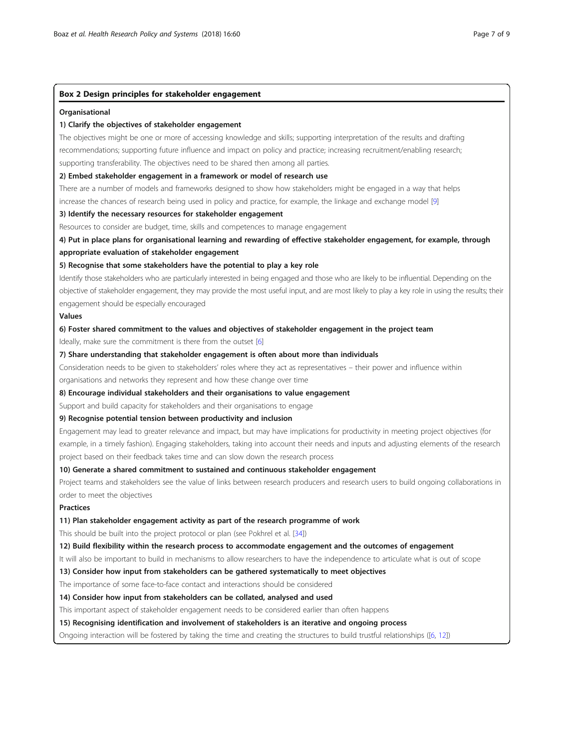#### Box 2 Design principles for stakeholder engagement

## Organisational

#### 1) Clarify the objectives of stakeholder engagement

The objectives might be one or more of accessing knowledge and skills; supporting interpretation of the results and drafting recommendations; supporting future influence and impact on policy and practice; increasing recruitment/enabling research; supporting transferability. The objectives need to be shared then among all parties.

#### 2) Embed stakeholder engagement in a framework or model of research use

There are a number of models and frameworks designed to show how stakeholders might be engaged in a way that helps increase the chances of research being used in policy and practice, for example, the linkage and exchange model [[9\]](#page-7-0)

#### 3) Identify the necessary resources for stakeholder engagement

Resources to consider are budget, time, skills and competences to manage engagement

4) Put in place plans for organisational learning and rewarding of effective stakeholder engagement, for example, through appropriate evaluation of stakeholder engagement

#### 5) Recognise that some stakeholders have the potential to play a key role

Identify those stakeholders who are particularly interested in being engaged and those who are likely to be influential. Depending on the objective of stakeholder engagement, they may provide the most useful input, and are most likely to play a key role in using the results; their engagement should be especially encouraged

#### Values

## 6) Foster shared commitment to the values and objectives of stakeholder engagement in the project team

Ideally, make sure the commitment is there from the outset [\[6](#page-7-0)]

## 7) Share understanding that stakeholder engagement is often about more than individuals

Consideration needs to be given to stakeholders' roles where they act as representatives – their power and influence within organisations and networks they represent and how these change over time

#### 8) Encourage individual stakeholders and their organisations to value engagement

Support and build capacity for stakeholders and their organisations to engage

#### 9) Recognise potential tension between productivity and inclusion

Engagement may lead to greater relevance and impact, but may have implications for productivity in meeting project objectives (for example, in a timely fashion). Engaging stakeholders, taking into account their needs and inputs and adjusting elements of the research project based on their feedback takes time and can slow down the research process

## 10) Generate a shared commitment to sustained and continuous stakeholder engagement

Project teams and stakeholders see the value of links between research producers and research users to build ongoing collaborations in order to meet the objectives

## Practices

#### 11) Plan stakeholder engagement activity as part of the research programme of work

This should be built into the project protocol or plan (see Pokhrel et al. [\[34\]](#page-8-0))

## 12) Build flexibility within the research process to accommodate engagement and the outcomes of engagement

It will also be important to build in mechanisms to allow researchers to have the independence to articulate what is out of scope

## 13) Consider how input from stakeholders can be gathered systematically to meet objectives

The importance of some face-to-face contact and interactions should be considered

#### 14) Consider how input from stakeholders can be collated, analysed and used

This important aspect of stakeholder engagement needs to be considered earlier than often happens

## 15) Recognising identification and involvement of stakeholders is an iterative and ongoing process

Ongoing interaction will be fostered by taking the time and creating the structures to build trustful relationships ([\[6](#page-7-0), [12](#page-7-0)])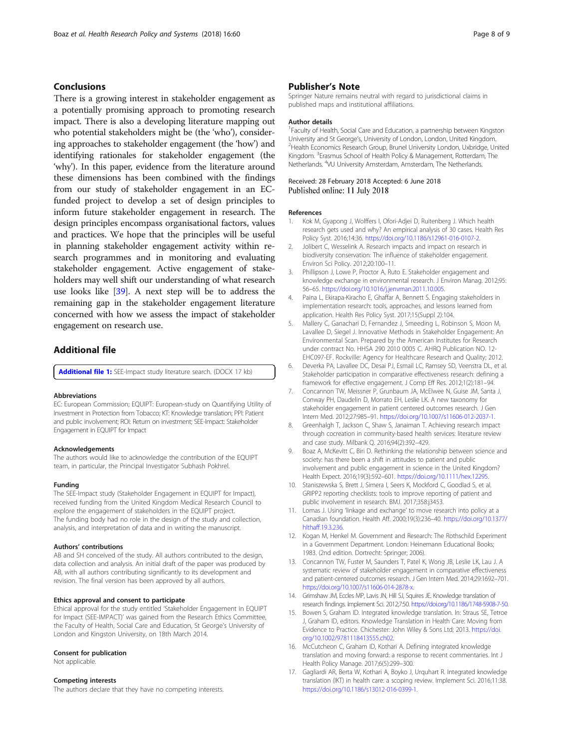## <span id="page-7-0"></span>**Conclusions**

There is a growing interest in stakeholder engagement as a potentially promising approach to promoting research impact. There is also a developing literature mapping out who potential stakeholders might be (the 'who'), considering approaches to stakeholder engagement (the 'how') and identifying rationales for stakeholder engagement (the 'why'). In this paper, evidence from the literature around these dimensions has been combined with the findings from our study of stakeholder engagement in an ECfunded project to develop a set of design principles to inform future stakeholder engagement in research. The design principles encompass organisational factors, values and practices. We hope that the principles will be useful in planning stakeholder engagement activity within research programmes and in monitoring and evaluating stakeholder engagement. Active engagement of stakeholders may well shift our understanding of what research use looks like [[39](#page-8-0)]. A next step will be to address the remaining gap in the stakeholder engagement literature concerned with how we assess the impact of stakeholder engagement on research use.

## Additional file

[Additional file 1:](https://doi.org/10.1186/s12961-018-0337-6) SEE-Impact study literature search. (DOCX 17 kb)

#### Abbreviations

EC: European Commission; EQUIPT: European-study on Quantifying Utility of Investment in Protection from Tobacco; KT: Knowledge translation; PPI: Patient and public involvement; ROI: Return on investment; SEE-Impact: Stakeholder Engagement in EQUIPT for Impact

#### Acknowledgements

The authors would like to acknowledge the contribution of the EQUIPT team, in particular, the Principal Investigator Subhash Pokhrel.

#### Funding

The SEE-Impact study (Stakeholder Engagement in EQUIPT for Impact), received funding from the United Kingdom Medical Research Council to explore the engagement of stakeholders in the EQUIPT project. The funding body had no role in the design of the study and collection, analysis, and interpretation of data and in writing the manuscript.

#### Authors' contributions

AB and SH conceived of the study. All authors contributed to the design, data collection and analysis. An initial draft of the paper was produced by AB, with all authors contributing significantly to its development and revision. The final version has been approved by all authors.

#### Ethics approval and consent to participate

Ethical approval for the study entitled 'Stakeholder Engagement in EQUIPT for Impact (SEE-IMPACT)' was gained from the Research Ethics Committee, the Faculty of Health, Social Care and Education, St George's University of London and Kingston University, on 18th March 2014.

#### Consent for publication

Not applicable.

## Competing interests

The authors declare that they have no competing interests.

#### Publisher's Note

Springer Nature remains neutral with regard to jurisdictional claims in published maps and institutional affiliations.

#### Author details

<sup>1</sup> Faculty of Health, Social Care and Education, a partnership between Kingston University and St George's, University of London, London, United Kingdom. <sup>2</sup> <sup>2</sup>Health Economics Research Group, Brunel University London, Uxbridge, United Kingdom. <sup>3</sup> Erasmus School of Health Policy & Management, Rotterdam, The Netherlands. <sup>4</sup>VU University Amsterdam, Amsterdam, The Netherlands.

## Received: 28 February 2018 Accepted: 6 June 2018

#### References

- 1. Kok M, Gyapong J, Wolffers I, Ofori-Adjei D, Ruitenberg J. Which health research gets used and why? An empirical analysis of 30 cases. Health Res Policy Syst. 2016;14:36. <https://doi.org/10.1186/s12961-016-0107-2>.
- 2. Jolibert C, Wesselink A. Research impacts and impact on research in biodiversity conservation: The influence of stakeholder engagement. Environ Sci Policy. 2012;20:100–11.
- 3. Phillipson J, Lowe P, Proctor A, Ruto E. Stakeholder engagement and knowledge exchange in environmental research. J Environ Manag. 2012;95: 56–65. <https://doi.org/10.1016/j.jenvman.2011.10.005>.
- 4. Paina L, Ekirapa-Kiracho E, Ghaffar A, Bennett S. Engaging stakeholders in implementation research: tools, approaches, and lessons learned from application. Health Res Policy Syst. 2017;15(Suppl 2):104.
- 5. Mallery C, Ganachari D, Fernandez J, Smeeding L, Robinson S, Moon M, Lavallee D, Siegel J. Innovative Methods in Stakeholder Engagement: An Environmental Scan. Prepared by the American Institutes for Research under contract No. HHSA 290 2010 0005 C. AHRQ Publication NO. 12- EHC097-EF. Rockville: Agency for Healthcare Research and Quality; 2012.
- 6. Deverka PA, Lavallee DC, Desai PJ, Esmail LC, Ramsey SD, Veenstra DL, et al. Stakeholder participation in comparative effectiveness research: defining a framework for effective engagement. J Comp Eff Res. 2012;1(2):181–94.
- 7. Concannon TW, Meissner P, Grunbaum JA, McElwee N, Guise JM, Santa J, Conway PH, Daudelin D, Morrato EH, Leslie LK. A new taxonomy for stakeholder engagement in patient centered outcomes research. J Gen Intern Med. 2012;27:985–91. [https://doi.org/10.1007/s11606-012-2037-1.](https://doi.org/10.1007/s11606-012-2037-1)
- 8. Greenhalgh T, Jackson C, Shaw S, Janaiman T. Achieving research impact through cocreation in community-based health services: literature review and case study. Milbank Q. 2016;94(2):392–429.
- 9. Boaz A, McKevitt C, Biri D. Rethinking the relationship between science and society: has there been a shift in attitudes to patient and public involvement and public engagement in science in the United Kingdom? Health Expect. 2016;19(3):592–601. [https://doi.org/10.1111/hex.12295.](https://doi.org/10.1111/hex.12295)
- 10. Staniszewska S, Brett J, Simera I, Seers K, Mockford C, Goodlad S, et al. GRIPP2 reporting checklists: tools to improve reporting of patient and public involvement in research. BMJ. 2017;358:j3453.
- 11. Lomas J. Using 'linkage and exchange' to move research into policy at a Canadian foundation. Health Aff. 2000;19(3):236–40. [https://doi.org/10.1377/](https://doi.org/10.1377/hlthaff.19.3.236) [hlthaff.19.3.236.](https://doi.org/10.1377/hlthaff.19.3.236)
- 12. Kogan M, Henkel M. Government and Research: The Rothschild Experiment in a Government Department. London: Heinemann Educational Books; 1983. (2nd edition. Dortrecht: Springer; 2006).
- 13. Concannon TW, Fuster M, Saunders T, Patel K, Wong JB, Leslie LK, Lau J. A systematic review of stakeholder engagement in comparative effectiveness and patient-centered outcomes research. J Gen Intern Med. 2014;29:1692–701. <https://doi.org/10.1007/s11606-014-2878-x>.
- 14. Grimshaw JM, Eccles MP, Lavis JN, Hill SJ, Squires JE. Knowledge translation of research findings. Implement Sci. 2012;7:50. <https://doi.org/10.1186/1748-5908-7-50>.
- 15. Bowen S, Graham ID. Integrated knowledge translation. In: Straus SE, Tetroe J, Graham ID, editors. Knowledge Translation in Health Care: Moving from Evidence to Practice. Chichester: John Wiley & Sons Ltd; 2013. [https://doi.](https://doi.org/10.1002/9781118413555.ch02) [org/10.1002/9781118413555.ch02](https://doi.org/10.1002/9781118413555.ch02).
- 16. McCutcheon C, Graham ID, Kothari A. Defining integrated knowledge translation and moving forward: a response to recent commentaries. Int J Health Policy Manage. 2017;6(5):299–300.
- 17. Gagliardi AR, Berta W, Kothari A, Boyko J, Urquhart R. Integrated knowledge translation (IKT) in health care: a scoping review. Implement Sci. 2016;11:38. <https://doi.org/10.1186/s13012-016-0399-1>.